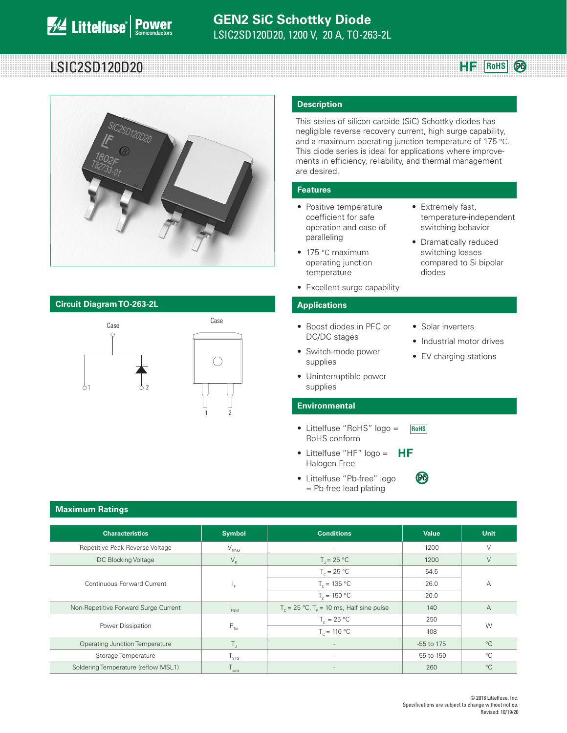# **RoHS** LSIC2SD120D20



### **Circuit Diagram TO-263-2L Applications**



1 2

### **Description**

This series of silicon carbide (SiC) Schottky diodes has negligible reverse recovery current, high surge capability, and a maximum operating junction temperature of 175 °C. This diode series is ideal for applications where improvements in efficiency, reliability, and thermal management are desired.

#### **Features**

- Positive temperature coefficient for safe operation and ease of paralleling
- 175 °C maximum operating junction temperature
- Excellent surge capability

- Boost diodes in PFC or DC/DC stages
- Switch-mode power supplies
- Solar inverters

diodes

• Extremely fast,

temperature-independent switching behavior • Dramatically reduced switching losses compared to Si bipolar

**HF** RoHS  $\odot$ 

- Industrial motor drives
- EV charging stations
- Uninterruptible power supplies

#### **Environmental**

- Littelfuse "RoHS" logo = RoHS conform **RoHS**
- Littelfuse "HF"  $logo = HF$ Halogen Free
- Littelfuse "Pb-free" log = Pb-free lead plating

| 10 | (PA |
|----|-----|
|    |     |

### **Maximum Ratings**

| <b>Characteristics</b>                | <b>Symbol</b>               | <b>Conditions</b>                                           | <b>Value</b> | <b>Unit</b>    |  |
|---------------------------------------|-----------------------------|-------------------------------------------------------------|--------------|----------------|--|
| Repetitive Peak Reverse Voltage       | $V_{\rm RRM}$               | ٠                                                           | 1200         | V              |  |
| DC Blocking Voltage                   | $V_R$                       | $T = 25 °C$                                                 | 1200         | V              |  |
|                                       |                             | $T_c = 25 °C$                                               | 54.5         |                |  |
| Continuous Forward Current            | ⊩ ⊨                         | $T_c = 135 °C$                                              | 26.0         | А              |  |
|                                       |                             | $T_c = 150 °C$                                              | 20.0         |                |  |
| Non-Repetitive Forward Surge Current  | <sup>1</sup> FSM            | $T_c = 25 \text{ °C}, T_p = 10 \text{ ms},$ Half sine pulse | 140          | $\overline{A}$ |  |
|                                       |                             | $T_c = 25 °C$                                               | 250          | W              |  |
| Power Dissipation                     | $P_{\text{Tot}}$            | $T_c = 110 °C$                                              | 108          |                |  |
| <b>Operating Junction Temperature</b> |                             |                                                             | -55 to 175   | $^{\circ}C$    |  |
| Storage Temperature                   | $\mathsf{T}_{\textsf{STG}}$ | ٠                                                           | -55 to 150   | $^{\circ}C$    |  |
| Soldering Temperature (reflow MSL1)   | sold                        |                                                             | 260          | $^{\circ}C$    |  |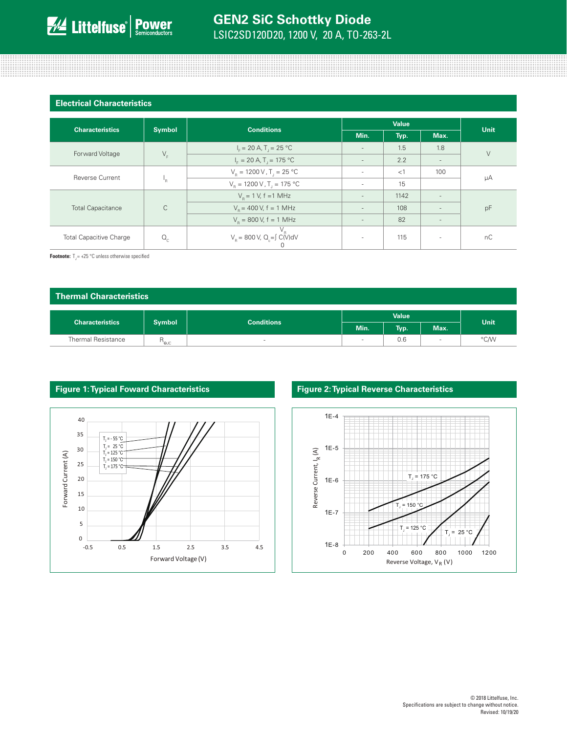| <b>Electrical Characteristics</b> |  |
|-----------------------------------|--|
|                                   |  |

<u> 1999 - 1999 - 1999 - 1999 - 1999 - 1999 - 1999 - 1999 - 1999 - 1999 - 1999 - 1999 - 1999 - 1999 - 1999 - 199</u>

| <b>Characteristics</b>                  |               | <b>Conditions</b>                                     | <b>Value</b>             |      |                          | Unit   |
|-----------------------------------------|---------------|-------------------------------------------------------|--------------------------|------|--------------------------|--------|
|                                         | <b>Symbol</b> |                                                       | Min.                     | Typ. | Max.                     |        |
| Forward Voltage                         |               | $I_{F} = 20 A, T_{1} = 25 °C$                         | $\overline{\phantom{a}}$ | 1.5  | 1.8                      | $\vee$ |
|                                         |               | $V_F$<br>$I_F = 20 A, T_J = 175 °C$                   | $\overline{\phantom{a}}$ | 2.2  | $\overline{\phantom{a}}$ |        |
| <b>Reverse Current</b><br>'n.           |               | $V_B = 1200 V, T_I = 25 °C$                           | $\sim$                   | <1   | 100                      | μA     |
|                                         |               | $V_{\rm B} = 1200 \,\rm V$ , T <sub>1</sub> = 175 °C  | $\sim$                   | 15   |                          |        |
| $\mathsf C$<br><b>Total Capacitance</b> |               | $V_p = 1 V$ , f = 1 MHz                               | $\overline{\phantom{a}}$ | 1142 | $\overline{a}$           | pF     |
|                                         |               | $V_p = 400 V$ , f = 1 MHz                             | $\overline{\phantom{a}}$ | 108  |                          |        |
|                                         |               | $V_R$ = 800 V, f = 1 MHz                              | $\overline{\phantom{a}}$ | 82   | $\overline{\phantom{a}}$ |        |
| <b>Total Capacitive Charge</b>          | $Q_c$         | $V_R$<br>$V_R$ = 800 V, Q <sub>c</sub> =∫ C(V)dV<br>U | $\sim$                   | 115  | $\sim$                   | nC     |

<u> 1999-1999 1999-1999 1999-1999 1999-1999 1999-1999 1999 1999 1999 1999 1999 1999 1999 1999 1999 1999 1999 199</u>

**Footnote:**  $T = +25$  °C unless otherwise specified

| Thermal Characteristics   |                             |                   |              |      |             |             |
|---------------------------|-----------------------------|-------------------|--------------|------|-------------|-------------|
| <b>Characteristics</b>    | <b>Symbol</b>               | <b>Conditions</b> | <b>Value</b> |      |             | <b>Unit</b> |
|                           |                             |                   | Min.         | Typ. | Max.        |             |
| <b>Thermal Resistance</b> | $\mathsf{R}_{\mathsf{eyc}}$ | $\sim$            | $\sim$       | 0.6  | <b>STEP</b> | °C/W        |



### **Figure 1: Typical Foward Characteristics Figure 2: Typical Reverse Characteristics**



<u> 11. – 11. – 11. – 11. – 11. – 11. – 11. – 11. – 11. – 11. – 11. – 11. – 11. – 11. – 11. – 11. – 11. – 11. – 1</u>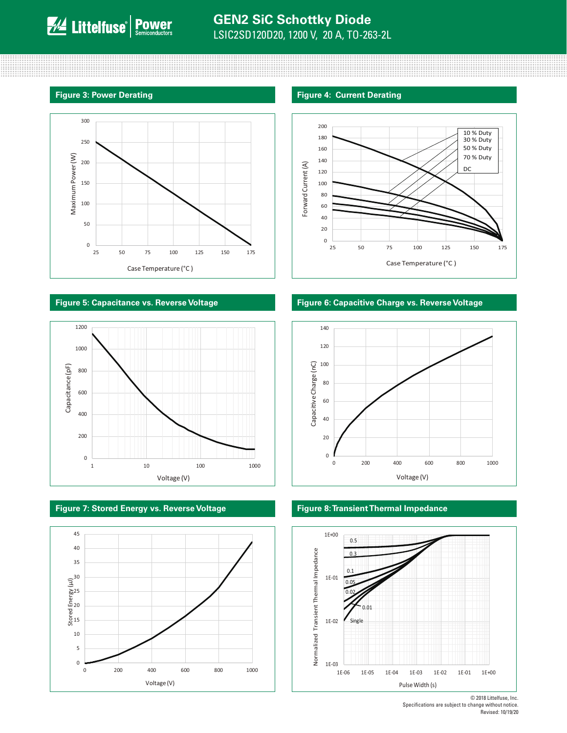#### **Figure 3: Power Derating Figure 4: Current Derating Figure 4: Current Derating**



### **Figure 5: Capacitance vs. Reverse Voltage Figure 6: Capacitive Charge vs. Reverse Voltage**



**Figure 7: Stored Energy vs. Reverse Voltage Figure 8: Transient Thermal Impedance**









© 2018 Littelfuse, Inc. Specifications are subject to change without notice. Revised: 10/19/20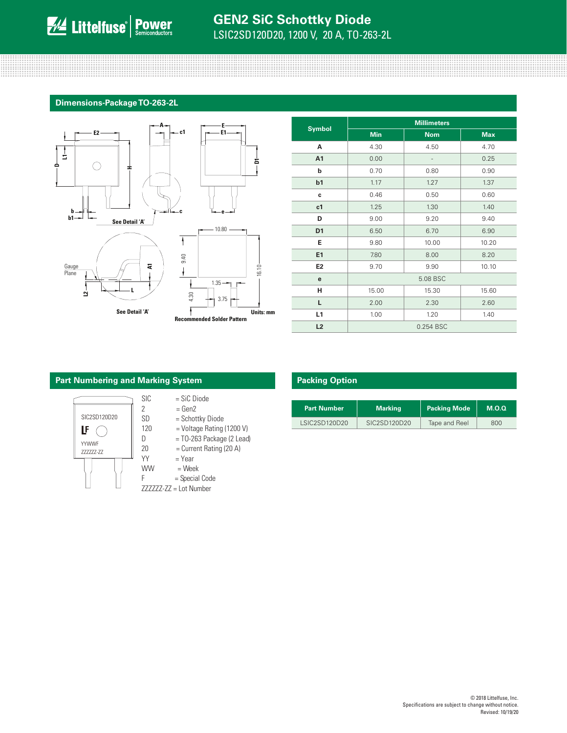## **GEN2 SiC Schottky Diode** LSIC2SD120D20, 1200 V, 20 A, TO-263-2L

#### **Dimensions-Package TO-263-2L**



|                | <b>Millimeters</b> |            |            |  |
|----------------|--------------------|------------|------------|--|
| <b>Symbol</b>  | <b>Min</b>         | <b>Nom</b> | <b>Max</b> |  |
| A              | 4.30               | 4.50       | 4.70       |  |
| A1             | 0.00               |            | 0.25       |  |
| b              | 0.70               | 0.80       | 0.90       |  |
| b1             | 1.17               | 1.27       | 1.37       |  |
| c              | 0.46               | 0.50       | 0.60       |  |
| c <sub>1</sub> | 1.25               | 1.30       | 1.40       |  |
| D              | 9.00               | 9.20       | 9.40       |  |
| D <sub>1</sub> | 6.50               | 6.70       | 6.90       |  |
| Е              | 9.80               | 10.00      | 10.20      |  |
| E1             | 7.80               | 8.00       | 8.20       |  |
| E <sub>2</sub> | 9.70               | 9.90       | 10.10      |  |
| e              | 5.08 BSC           |            |            |  |
| н              | 15.00              | 15.30      | 15.60      |  |
| L              | 2.00               | 2.30       | 2.60       |  |
| L1             | 1.00               | 1.20       | 1.40       |  |
| L2             |                    | 0.254 BSC  |            |  |

### **Part Numbering and Marking System**



| $=$ SiC Diode |  |
|---------------|--|
|               |  |

- $2 = Gen2$ <br>SD = Schot
	- = Schottky Diode
- $D = TO-263$  Package (2 Lead)
- $20$  = Current Rating (20 A)
- $YY = Year$ 
	-
- $WW = West$
- F = Special Code ZZZZZZ-ZZ = Lot Number

### **Packing Option**

| <b>Part Number</b> | Marking      | <b>Packing Mode</b> | M.O.Q |
|--------------------|--------------|---------------------|-------|
| LSIC2SD120D20      | SIC2SD120D20 | Tape and Reel       | 800   |